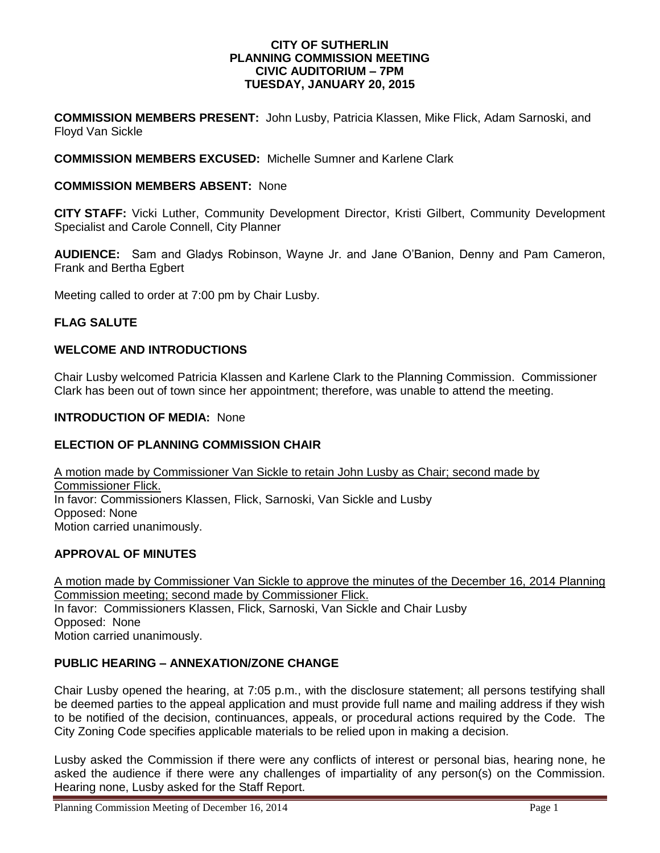#### **CITY OF SUTHERLIN PLANNING COMMISSION MEETING CIVIC AUDITORIUM – 7PM TUESDAY, JANUARY 20, 2015**

**COMMISSION MEMBERS PRESENT:** John Lusby, Patricia Klassen, Mike Flick, Adam Sarnoski, and Floyd Van Sickle

### **COMMISSION MEMBERS EXCUSED:** Michelle Sumner and Karlene Clark

#### **COMMISSION MEMBERS ABSENT:** None

**CITY STAFF:** Vicki Luther, Community Development Director, Kristi Gilbert, Community Development Specialist and Carole Connell, City Planner

**AUDIENCE:** Sam and Gladys Robinson, Wayne Jr. and Jane O'Banion, Denny and Pam Cameron, Frank and Bertha Egbert

Meeting called to order at 7:00 pm by Chair Lusby.

### **FLAG SALUTE**

# **WELCOME AND INTRODUCTIONS**

Chair Lusby welcomed Patricia Klassen and Karlene Clark to the Planning Commission. Commissioner Clark has been out of town since her appointment; therefore, was unable to attend the meeting.

#### **INTRODUCTION OF MEDIA:** None

### **ELECTION OF PLANNING COMMISSION CHAIR**

A motion made by Commissioner Van Sickle to retain John Lusby as Chair; second made by Commissioner Flick. In favor: Commissioners Klassen, Flick, Sarnoski, Van Sickle and Lusby Opposed: None Motion carried unanimously.

#### **APPROVAL OF MINUTES**

A motion made by Commissioner Van Sickle to approve the minutes of the December 16, 2014 Planning Commission meeting; second made by Commissioner Flick. In favor: Commissioners Klassen, Flick, Sarnoski, Van Sickle and Chair Lusby Opposed:None Motion carried unanimously.

# **PUBLIC HEARING – ANNEXATION/ZONE CHANGE**

Chair Lusby opened the hearing, at 7:05 p.m., with the disclosure statement; all persons testifying shall be deemed parties to the appeal application and must provide full name and mailing address if they wish to be notified of the decision, continuances, appeals, or procedural actions required by the Code. The City Zoning Code specifies applicable materials to be relied upon in making a decision.

Lusby asked the Commission if there were any conflicts of interest or personal bias, hearing none, he asked the audience if there were any challenges of impartiality of any person(s) on the Commission. Hearing none, Lusby asked for the Staff Report.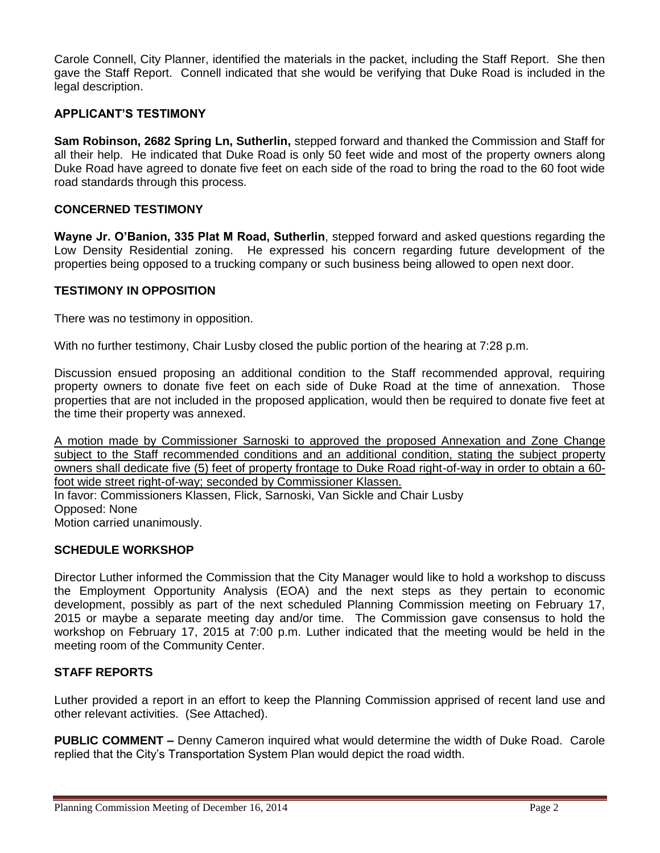Carole Connell, City Planner, identified the materials in the packet, including the Staff Report. She then gave the Staff Report. Connell indicated that she would be verifying that Duke Road is included in the legal description.

# **APPLICANT'S TESTIMONY**

**Sam Robinson, 2682 Spring Ln, Sutherlin,** stepped forward and thanked the Commission and Staff for all their help. He indicated that Duke Road is only 50 feet wide and most of the property owners along Duke Road have agreed to donate five feet on each side of the road to bring the road to the 60 foot wide road standards through this process.

# **CONCERNED TESTIMONY**

**Wayne Jr. O'Banion, 335 Plat M Road, Sutherlin**, stepped forward and asked questions regarding the Low Density Residential zoning. He expressed his concern regarding future development of the properties being opposed to a trucking company or such business being allowed to open next door.

#### **TESTIMONY IN OPPOSITION**

There was no testimony in opposition.

With no further testimony, Chair Lusby closed the public portion of the hearing at 7:28 p.m.

Discussion ensued proposing an additional condition to the Staff recommended approval, requiring property owners to donate five feet on each side of Duke Road at the time of annexation. Those properties that are not included in the proposed application, would then be required to donate five feet at the time their property was annexed.

A motion made by Commissioner Sarnoski to approved the proposed Annexation and Zone Change subject to the Staff recommended conditions and an additional condition, stating the subject property owners shall dedicate five (5) feet of property frontage to Duke Road right-of-way in order to obtain a 60 foot wide street right-of-way; seconded by Commissioner Klassen. In favor: Commissioners Klassen, Flick, Sarnoski, Van Sickle and Chair Lusby

Opposed: None

Motion carried unanimously.

# **SCHEDULE WORKSHOP**

Director Luther informed the Commission that the City Manager would like to hold a workshop to discuss the Employment Opportunity Analysis (EOA) and the next steps as they pertain to economic development, possibly as part of the next scheduled Planning Commission meeting on February 17, 2015 or maybe a separate meeting day and/or time. The Commission gave consensus to hold the workshop on February 17, 2015 at 7:00 p.m. Luther indicated that the meeting would be held in the meeting room of the Community Center.

# **STAFF REPORTS**

Luther provided a report in an effort to keep the Planning Commission apprised of recent land use and other relevant activities. (See Attached).

**PUBLIC COMMENT –** Denny Cameron inquired what would determine the width of Duke Road. Carole replied that the City's Transportation System Plan would depict the road width.